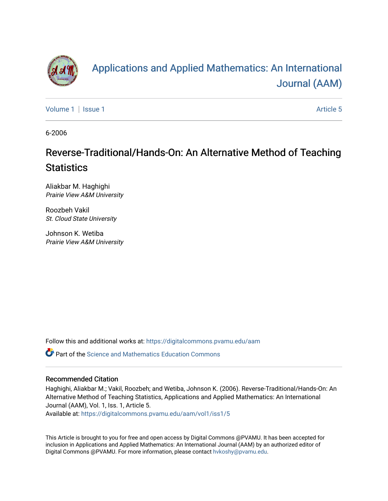

# [Applications and Applied Mathematics: An International](https://digitalcommons.pvamu.edu/aam)  [Journal \(AAM\)](https://digitalcommons.pvamu.edu/aam)

[Volume 1](https://digitalcommons.pvamu.edu/aam/vol1) | [Issue 1](https://digitalcommons.pvamu.edu/aam/vol1/iss1) Article 5

6-2006

## Reverse-Traditional/Hands-On: An Alternative Method of Teaching **Statistics**

Aliakbar M. Haghighi Prairie View A&M University

Roozbeh Vakil St. Cloud State University

Johnson K. Wetiba Prairie View A&M University

Follow this and additional works at: [https://digitalcommons.pvamu.edu/aam](https://digitalcommons.pvamu.edu/aam?utm_source=digitalcommons.pvamu.edu%2Faam%2Fvol1%2Fiss1%2F5&utm_medium=PDF&utm_campaign=PDFCoverPages) 

**C** Part of the Science and Mathematics Education Commons

#### Recommended Citation

Haghighi, Aliakbar M.; Vakil, Roozbeh; and Wetiba, Johnson K. (2006). Reverse-Traditional/Hands-On: An Alternative Method of Teaching Statistics, Applications and Applied Mathematics: An International Journal (AAM), Vol. 1, Iss. 1, Article 5.

Available at: [https://digitalcommons.pvamu.edu/aam/vol1/iss1/5](https://digitalcommons.pvamu.edu/aam/vol1/iss1/5?utm_source=digitalcommons.pvamu.edu%2Faam%2Fvol1%2Fiss1%2F5&utm_medium=PDF&utm_campaign=PDFCoverPages) 

This Article is brought to you for free and open access by Digital Commons @PVAMU. It has been accepted for inclusion in Applications and Applied Mathematics: An International Journal (AAM) by an authorized editor of Digital Commons @PVAMU. For more information, please contact [hvkoshy@pvamu.edu.](mailto:hvkoshy@pvamu.edu)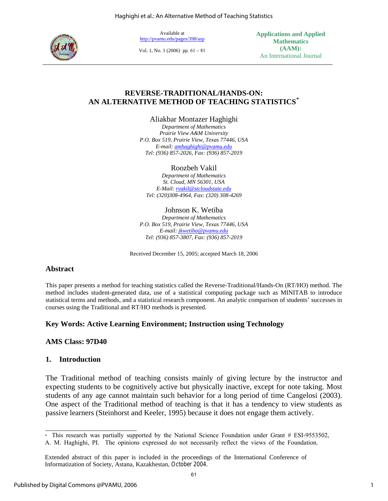Haghighi et al.: An Alternative Method of Teaching Statistics



Available at http://pvamu.edu/pages/398/asp

[Vol. 1, No. 1 \(2006\) pp.](http://acad.pvamu.edu/content/mathdept/AAMJournal.html) 61 – 81

**Applications and Applied Mathematics (AAM):**  An International Journal

#### **REVERSE-TRADITIONAL/HANDS-ON: AN ALTERNATIVE METHOD OF TEACHING STATISTICS[\\*](#page-1-0)**

Aliakbar Montazer Haghighi

*Department of Mathematics Prairie View A&M University P.O. Box 519, Prairie View, Texas 77446, USA E-mail: [amhaghighi@pvamu.edu](mailto:amhaghighi@pvamu.edu) Tel: (936) 857-2026, Fax: (936) 857-2019* 

Roozbeh Vakil

*Department of Mathematics St. Cloud, MN 56301, USA E-Mail: [rvakil@stcloudstate.edu](mailto:rvakil@stcloudstate.edu) Tel: (320)308-4964, Fax: (320) 308-4269* 

#### Johnson K. Wetiba

*Department of Mathematics P.O. Box 519, Prairie View, Texas 77446, USA E-mail: [jkwetiba@pvamu.edu](mailto:jkwetiba@pvamu.edu) Tel: (936) 857-3807, Fax: (936) 857-2019* 

Received December 15, 2005; accepted March 18, 2006

#### **Abstract**

This paper presents a method for teaching statistics called the Reverse-Traditional/Hands-On (RT/HO) method. The method includes student-generated data, use of a statistical computing package such as MINITAB to introduce statistical terms and methods, and a statistical research component. An analytic comparison of students' successes in courses using the Traditional and RT/HO methods is presented.

#### **Key Words: Active Learning Environment; Instruction using Technology**

#### **AMS Class: 97D40**

#### **1. Introduction**

The Traditional method of teaching consists mainly of giving lecture by the instructor and expecting students to be cognitively active but physically inactive, except for note taking. Most students of any age cannot maintain such behavior for a long period of time Cangelosi (2003). One aspect of the Traditional method of teaching is that it has a tendency to view students as passive learners (Steinhorst and Keeler, 1995) because it does not engage them actively.

<sup>\*</sup>  This research was partially supported by the National Science Foundation under Grant # ESI-9553502,

<span id="page-1-0"></span>A. M. Haghighi, PI. The opinions expressed do not necessarily reflect the views of the Foundation.

Extended abstract of this paper is included in the proceedings of the International Conference of Informatization of Society, Astana, Kazakhestan, October 2004.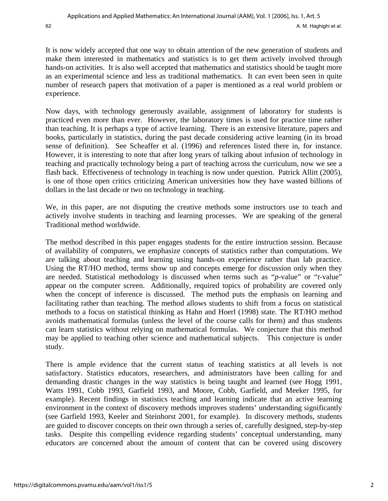It is now widely accepted that one way to obtain attention of the new generation of students and make them interested in mathematics and statistics is to get them actively involved through hands-on activities. It is also well accepted that mathematics and statistics should be taught more as an experimental science and less as traditional mathematics. It can even been seen in quite number of research papers that motivation of a paper is mentioned as a real world problem or experience.

Now days, with technology generously available, assignment of laboratory for students is practiced even more than ever. However, the laboratory times is used for practice time rather than teaching. It is perhaps a type of active learning. There is an extensive literature, papers and books, particularly in statistics, during the past decade considering active learning (in its broad sense of definition). See Scheaffer et al. (1996) and references listed there in, for instance. However, it is interesting to note that after long years of talking about infusion of technology in teaching and practically technology being a part of teaching across the curriculum, now we see a flash back. Effectiveness of technology in teaching is now under question. Patrick Allitt (2005), is one of those open critics criticizing American universities how they have wasted billions of dollars in the last decade or two on technology in teaching.

We, in this paper, are not disputing the creative methods some instructors use to teach and actively involve students in teaching and learning processes. We are speaking of the general Traditional method worldwide.

The method described in this paper engages students for the entire instruction session. Because of availability of computers, we emphasize concepts of statistics rather than computations. We are talking about teaching and learning using hands-on experience rather than lab practice. Using the RT/HO method, terms show up and concepts emerge for discussion only when they are needed. Statistical methodology is discussed when terms such as "*p*-value" or "*t*-value" appear on the computer screen. Additionally, required topics of probability are covered only when the concept of inference is discussed. The method puts the emphasis on learning and facilitating rather than teaching. The method allows students to shift from a focus on statistical methods to a focus on statistical thinking as Hahn and Hoerl (1998) state. The RT/HO method avoids mathematical formulas (unless the level of the course calls for them) and thus students can learn statistics without relying on mathematical formulas. We conjecture that this method may be applied to teaching other science and mathematical subjects. This conjecture is under study.

There is ample evidence that the current status of teaching statistics at all levels is not satisfactory. Statistics educators, researchers, and administrators have been calling for and demanding drastic changes in the way statistics is being taught and learned (see Hogg 1991, Watts 1991, Cobb 1993, Garfield 1993, and Moore, Cobb, Garfield, and Meeker 1995, for example). Recent findings in statistics teaching and learning indicate that an active learning environment in the context of discovery methods improves students' understanding significantly (see Garfield 1993, Keeler and Steinhorst 2001, for example). In discovery methods, students are guided to discover concepts on their own through a series of, carefully designed, step-by-step tasks. Despite this compelling evidence regarding students' conceptual understanding, many educators are concerned about the amount of content that can be covered using discovery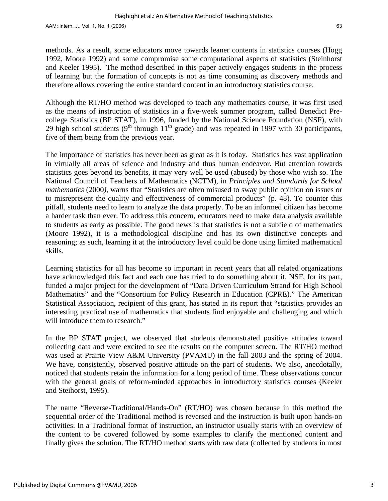methods. As a result, some educators move towards leaner contents in statistics courses (Hogg 1992, Moore 1992) and some compromise some computational aspects of statistics (Steinhorst and Keeler 1995). The method described in this paper actively engages students in the process of learning but the formation of concepts is not as time consuming as discovery methods and therefore allows covering the entire standard content in an introductory statistics course.

Although the RT/HO method was developed to teach any mathematics course, it was first used as the means of instruction of statistics in a five-week summer program, called Benedict Precollege Statistics (BP STAT), in 1996, funded by the National Science Foundation (NSF), with 29 high school students  $(9<sup>th</sup>$  through  $11<sup>th</sup>$  grade) and was repeated in 1997 with 30 participants, five of them being from the previous year.

The importance of statistics has never been as great as it is today. Statistics has vast application in virtually all areas of science and industry and thus human endeavor. But attention towards statistics goes beyond its benefits, it may very well be used (abused) by those who wish so. The National Council of Teachers of Mathematics (NCTM), in *Principles and Standards for School mathematics* (2000*)*, warns that "Statistics are often misused to sway public opinion on issues or to misrepresent the quality and effectiveness of commercial products" (p. 48). To counter this pitfall, students need to learn to analyze the data properly. To be an informed citizen has become a harder task than ever. To address this concern, educators need to make data analysis available to students as early as possible. The good news is that statistics is not a subfield of mathematics (Moore 1992), it is a methodological discipline and has its own distinctive concepts and reasoning; as such, learning it at the introductory level could be done using limited mathematical skills.

Learning statistics for all has become so important in recent years that all related organizations have acknowledged this fact and each one has tried to do something about it. NSF, for its part, funded a major project for the development of "Data Driven Curriculum Strand for High School Mathematics" and the "Consortium for Policy Research in Education (CPRE)." The American Statistical Association, recipient of this grant, has stated in its report that "statistics provides an interesting practical use of mathematics that students find enjoyable and challenging and which will introduce them to research."

In the BP STAT project, we observed that students demonstrated positive attitudes toward collecting data and were excited to see the results on the computer screen. The RT/HO method was used at Prairie View A&M University (PVAMU) in the fall 2003 and the spring of 2004. We have, consistently, observed positive attitude on the part of students. We also, anecdotally, noticed that students retain the information for a long period of time. These observations concur with the general goals of reform-minded approaches in introductory statistics courses (Keeler and Steihorst, 1995).

The name "Reverse-Traditional/Hands-On" (RT/HO) was chosen because in this method the sequential order of the Traditional method is reversed and the instruction is built upon hands-on activities. In a Traditional format of instruction, an instructor usually starts with an overview of the content to be covered followed by some examples to clarify the mentioned content and finally gives the solution. The RT/HO method starts with raw data (collected by students in most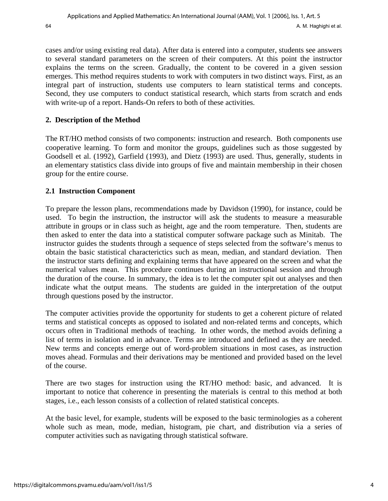cases and/or using existing real data). After data is entered into a computer, students see answers to several standard parameters on the screen of their computers. At this point the instructor explains the terms on the screen. Gradually, the content to be covered in a given session emerges. This method requires students to work with computers in two distinct ways. First, as an integral part of instruction, students use computers to learn statistical terms and concepts. Second, they use computers to conduct statistical research, which starts from scratch and ends with write-up of a report. Hands-On refers to both of these activities.

## **2. Description of the Method**

The RT/HO method consists of two components: instruction and research. Both components use cooperative learning. To form and monitor the groups, guidelines such as those suggested by Goodsell et al. (1992), Garfield (1993), and Dietz (1993) are used. Thus, generally, students in an elementary statistics class divide into groups of five and maintain membership in their chosen group for the entire course.

## **2.1 Instruction Component**

To prepare the lesson plans, recommendations made by Davidson (1990), for instance, could be used. To begin the instruction, the instructor will ask the students to measure a measurable attribute in groups or in class such as height, age and the room temperature. Then, students are then asked to enter the data into a statistical computer software package such as Minitab. The instructor guides the students through a sequence of steps selected from the software's menus to obtain the basic statistical characterictics such as mean, median, and standard deviation. Then the instructor starts defining and explaining terms that have appeared on the screen and what the numerical values mean. This procedure continues during an instructional session and through the duration of the course. In summary, the idea is to let the computer spit out analyses and then indicate what the output means. The students are guided in the interpretation of the output through questions posed by the instructor.

The computer activities provide the opportunity for students to get a coherent picture of related terms and statistical concepts as opposed to isolated and non-related terms and concepts, which occurs often in Traditional methods of teaching. In other words, the method avoids defining a list of terms in isolation and in advance. Terms are introduced and defined as they are needed. New terms and concepts emerge out of word-problem situations in most cases, as instruction moves ahead. Formulas and their derivations may be mentioned and provided based on the level of the course.

There are two stages for instruction using the RT/HO method: basic, and advanced. It is important to notice that coherence in presenting the materials is central to this method at both stages, i.e., each lesson consists of a collection of related statistical concepts.

At the basic level, for example, students will be exposed to the basic terminologies as a coherent whole such as mean, mode, median, histogram, pie chart, and distribution via a series of computer activities such as navigating through statistical software.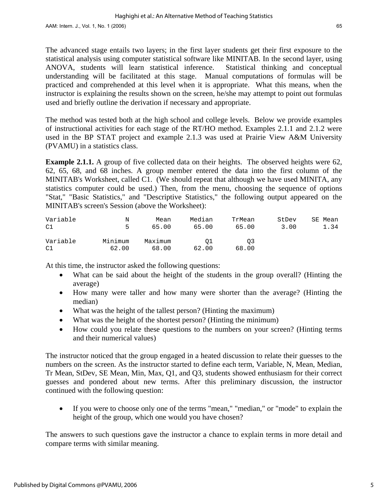The advanced stage entails two layers; in the first layer students get their first exposure to the statistical analysis using computer statistical software like MINITAB. In the second layer, using ANOVA, students will learn statistical inference. Statistical thinking and conceptual understanding will be facilitated at this stage. Manual computations of formulas will be practiced and comprehended at this level when it is appropriate. What this means, when the instructor is explaining the results shown on the screen, he/she may attempt to point out formulas used and briefly outline the derivation if necessary and appropriate.

The method was tested both at the high school and college levels. Below we provide examples of instructional activities for each stage of the RT/HO method. Examples 2.1.1 and 2.1.2 were used in the BP STAT project and example 2.1.3 was used at Prairie View A&M University (PVAMU) in a statistics class.

**Example 2.1.1.** A group of five collected data on their heights. The observed heights were 62, 62, 65, 68, and 68 inches. A group member entered the data into the first column of the MINITAB's Worksheet, called C1. (We should repeat that although we have used MINITA, any statistics computer could be used.) Then, from the menu, choosing the sequence of options "Stat," "Basic Statistics," and "Descriptive Statistics," the following output appeared on the MINITAB's screen's Session (above the Worksheet):

| Variable       | N                | Mean             | Median      | TrMean      | StDev | SE Mean |
|----------------|------------------|------------------|-------------|-------------|-------|---------|
| C1             | 5.               | 65.00            | 65.00       | 65.00       | 3.00  | 1.34    |
| Variable<br>C1 | Minimum<br>62.00 | Maximum<br>68.00 | 01<br>62.00 | O3<br>68.00 |       |         |

At this time, the instructor asked the following questions:

- What can be said about the height of the students in the group overall? (Hinting the average)
- How many were taller and how many were shorter than the average? (Hinting the median)
- What was the height of the tallest person? (Hinting the maximum)
- What was the height of the shortest person? (Hinting the minimum)
- How could you relate these questions to the numbers on your screen? (Hinting terms and their numerical values)

The instructor noticed that the group engaged in a heated discussion to relate their guesses to the numbers on the screen. As the instructor started to define each term, Variable, N, Mean, Median, Tr Mean, StDev, SE Mean, Min, Max, Q1, and Q3, students showed enthusiasm for their correct guesses and pondered about new terms. After this preliminary discussion, the instructor continued with the following question:

• If you were to choose only one of the terms "mean," "median," or "mode" to explain the height of the group, which one would you have chosen?

The answers to such questions gave the instructor a chance to explain terms in more detail and compare terms with similar meaning.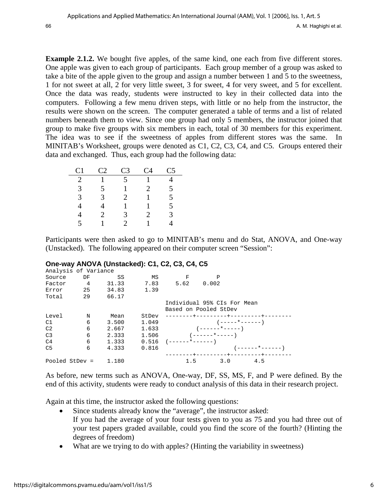**Example 2.1.2.** We bought five apples, of the same kind, one each from five different stores. One apple was given to each group of participants. Each group member of a group was asked to take a bite of the apple given to the group and assign a number between 1 and 5 to the sweetness, 1 for not sweet at all, 2 for very little sweet, 3 for sweet, 4 for very sweet, and 5 for excellent. Once the data was ready, students were instructed to key in their collected data into the computers. Following a few menu driven steps, with little or no help from the instructor, the results were shown on the screen. The computer generated a table of terms and a list of related numbers beneath them to view. Since one group had only 5 members, the instructor joined that group to make five groups with six members in each, total of 30 members for this experiment. The idea was to see if the sweetness of apples from different stores was the same. In MINITAB's Worksheet, groups were denoted as C1, C2, C3, C4, and C5. Groups entered their data and exchanged. Thus, each group had the following data:

| C1            | C <sub>2</sub>        | C <sub>3</sub>        | C4                    | C5 |
|---------------|-----------------------|-----------------------|-----------------------|----|
| 2             |                       | 5                     |                       |    |
| 3             | 5                     |                       | $\mathcal{D}_{\cdot}$ | 5  |
| $\mathcal{R}$ | 3                     | $\mathcal{D}_{\cdot}$ |                       | 5  |
|               |                       |                       |                       | 5  |
| 4             | $\mathcal{D}_{\cdot}$ | 3                     | $\mathcal{D}_{\cdot}$ | 3  |
| 5             |                       | 2                     |                       | 4  |

Participants were then asked to go to MINITAB's menu and do Stat, ANOVA, and One-way (Unstacked). The following appeared on their computer screen "Session":

#### **One-way ANOVA (Unstacked): C1, C2, C3, C4, C5**

| Analysis of Variance |               |          |       |                       |                               |                  |
|----------------------|---------------|----------|-------|-----------------------|-------------------------------|------------------|
| Source               | DF            | SS       | MS    | F                     | P                             |                  |
| Factor               | $\frac{4}{3}$ | 31.33    | 7.83  | 5.62 0.002            |                               |                  |
| Error                |               | 25 34.83 | 1.39  |                       |                               |                  |
| Total                | 29            | 66.17    |       |                       |                               |                  |
|                      |               |          |       |                       | Individual 95% CIs For Mean   |                  |
|                      |               |          |       |                       | Based on Pooled StDev         |                  |
| Level                | N             | Mean     | StDev |                       | --------+---------+--------+  |                  |
| C1                   | 6             | 3.500    |       | 1.049                 | $(----+---)$                  |                  |
| C <sub>2</sub>       | 6             | 2.667    | 1.633 |                       | $(----+---+---)$              |                  |
| C <sub>3</sub>       | 6             | 2.333    |       |                       | $1.506$ $($ -----*-----)      |                  |
| C4                   | 6             | 1.333    |       | $0.516$ $(----*----)$ |                               |                  |
| C <sub>5</sub>       | 6             | 4.333    | 0.816 |                       |                               | $(----+---+---)$ |
|                      |               |          |       |                       | --------+---------+--------+- |                  |
| Pooled StDev =       |               | 1.180    |       | 1.5                   | 3.0                           | 4.5              |

As before, new terms such as ANOVA, One-way, DF, SS, MS, F, and P were defined. By the end of this activity, students were ready to conduct analysis of this data in their research project.

Again at this time, the instructor asked the following questions:

- Since students already know the "average", the instructor asked: If you had the average of your four tests given to you as 75 and you had three out of your test papers graded available, could you find the score of the fourth? (Hinting the degrees of freedom)
- What are we trying to do with apples? (Hinting the variability in sweetness)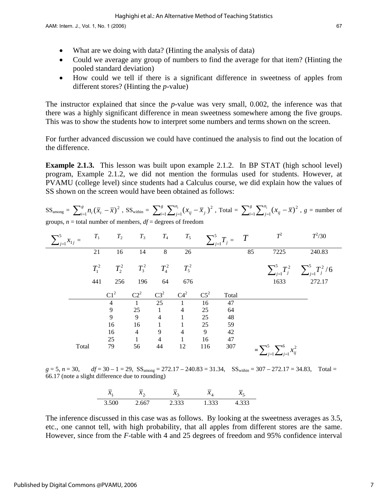- What are we doing with data? (Hinting the analysis of data)
- Could we average any group of numbers to find the average for that item? (Hinting the pooled standard deviation)
- How could we tell if there is a significant difference in sweetness of apples from different stores? (Hinting the *p*-value)

The instructor explained that since the *p*-value was very small, 0.002, the inference was that there was a highly significant difference in mean sweetness somewhere among the five groups. This was to show the students how to interpret some numbers and terms shown on the screen.

For further advanced discussion we could have continued the analysis to find out the location of the difference.

**Example 2.1.3.** This lesson was built upon example 2.1.2. In BP STAT (high school level) program, Example 2.1.2, we did not mention the formulas used for students. However, at PVAMU (college level) since students had a Calculus course, we did explain how the values of SS shown on the screen would have been obtained as follows:

$$
SS_{\text{among}} = \sum_{i=1}^{g} n_i (\overline{x}_{i.} - \overline{x})^2
$$
,  $SS_{\text{within}} = \sum_{i=1}^{g} \sum_{j=1}^{n_i} (x_{ij} - \overline{x}_{j.})^2$ ,  $Total = \sum_{i=1}^{g} \sum_{j=1}^{n_i} (x_{ij} - \overline{x})^2$ ,  $g = \text{number of groups}$ ,  $n = \text{total number of members}$ ,  $df = \text{degrees of freedom}$ 

| $\sum_{j=1}^{5} x_{1j} =$ | $T_{\rm 1}$ | $T_2$           | $T_3$          | $T_{4}$        | $T_5$          |        | $\sum_{j=1}^5 T_j = T$ |    | $T^2$                                     | $T^2/30$                                          |
|---------------------------|-------------|-----------------|----------------|----------------|----------------|--------|------------------------|----|-------------------------------------------|---------------------------------------------------|
|                           | 21          | 16              | 14             | 8              | 26             |        |                        | 85 | 7225                                      | 240.83                                            |
|                           | $T_1^2$     | $T_2^2$         | $T_3^2$        | $T_4^{\,2}$    | $T_5^2$        |        |                        |    |                                           | $\sum_{j=1}^{5} T_j^2$ $\sum_{j=1}^{5} T_j^2 / 6$ |
|                           | 441         | 256             | 196            | 64             | 676            |        |                        |    | 1633                                      | 272.17                                            |
|                           |             | C1 <sup>2</sup> | $C2^2$         | $C3^2$         | $C4^2$         | $C5^2$ | Total                  |    |                                           |                                                   |
|                           |             | $\overline{4}$  | $\mathbf{1}$   | 25             |                | 16     | 47                     |    |                                           |                                                   |
|                           |             | $\overline{9}$  | 25             | $\mathbf{1}$   | $\overline{4}$ | 25     | 64                     |    |                                           |                                                   |
|                           |             | 9               | 9              | $\overline{4}$ |                | 25     | 48                     |    |                                           |                                                   |
|                           |             | 16              | 16             | $\mathbf{1}$   |                | $25\,$ | 59                     |    |                                           |                                                   |
|                           |             | 16              | $\overline{4}$ | 9              | $\overline{4}$ | 9      | 42                     |    |                                           |                                                   |
|                           |             | 25              | $\mathbf{1}$   | $\overline{4}$ |                | 16     | 47                     |    |                                           |                                                   |
| Total                     |             | 79              | 56             | 44             | 12             | 116    | 307                    |    | $=\sum_{j=1}^{5}\sum_{j=1}^{6}x_{ij}^{2}$ |                                                   |

 $g = 5$ ,  $n = 30$ ,  $df = 30 - 1 = 29$ ,  $SS_{\text{among}} = 272.17 - 240.83 = 31.34$ ,  $SS_{\text{within}} = 307 - 272.17 = 34.83$ , Total = 66.17 (note a slight difference due to rounding)

| $\sim$   | ъ. | $\rightarrow$ | ъ. | __ |
|----------|----|---------------|----|----|
| ◡<br>- - |    | ر. ر. د.      |    |    |

The inference discussed in this case was as follows. By looking at the sweetness averages as 3.5, etc., one cannot tell, with high probability, that all apples from different stores are the same. However, since from the *F*-table with 4 and 25 degrees of freedom and 95% confidence interval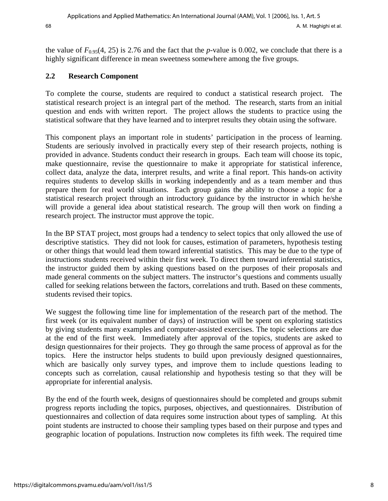the value of  $F_{0.95}(4, 25)$  is 2.76 and the fact that the *p*-value is 0.002, we conclude that there is a highly significant difference in mean sweetness somewhere among the five groups.

## **2.2 Research Component**

To complete the course, students are required to conduct a statistical research project. The statistical research project is an integral part of the method. The research, starts from an initial question and ends with written report. The project allows the students to practice using the statistical software that they have learned and to interpret results they obtain using the software.

This component plays an important role in students' participation in the process of learning. Students are seriously involved in practically every step of their research projects, nothing is provided in advance. Students conduct their research in groups. Each team will choose its topic, make questionnaire, revise the questionnaire to make it appropriate for statistical inference, collect data, analyze the data, interpret results, and write a final report. This hands-on activity requires students to develop skills in working independently and as a team member and thus prepare them for real world situations. Each group gains the ability to choose a topic for a statistical research project through an introductory guidance by the instructor in which he/she will provide a general idea about statistical research. The group will then work on finding a research project. The instructor must approve the topic.

In the BP STAT project, most groups had a tendency to select topics that only allowed the use of descriptive statistics. They did not look for causes, estimation of parameters, hypothesis testing or other things that would lead them toward inferential statistics. This may be due to the type of instructions students received within their first week. To direct them toward inferential statistics, the instructor guided them by asking questions based on the purposes of their proposals and made general comments on the subject matters. The instructor's questions and comments usually called for seeking relations between the factors, correlations and truth. Based on these comments, students revised their topics.

We suggest the following time line for implementation of the research part of the method. The first week (or its equivalent number of days) of instruction will be spent on exploring statistics by giving students many examples and computer-assisted exercises. The topic selections are due at the end of the first week. Immediately after approval of the topics, students are asked to design questionnaires for their projects. They go through the same process of approval as for the topics. Here the instructor helps students to build upon previously designed questionnaires, which are basically only survey types, and improve them to include questions leading to concepts such as correlation, causal relationship and hypothesis testing so that they will be appropriate for inferential analysis.

By the end of the fourth week, designs of questionnaires should be completed and groups submit progress reports including the topics, purposes, objectives, and questionnaires. Distribution of questionnaires and collection of data requires some instruction about types of sampling. At this point students are instructed to choose their sampling types based on their purpose and types and geographic location of populations. Instruction now completes its fifth week. The required time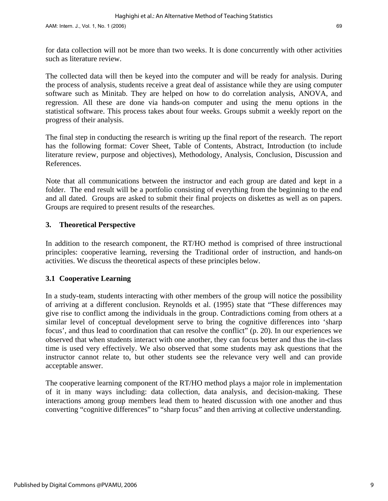for data collection will not be more than two weeks. It is done concurrently with other activities such as literature review.

The collected data will then be keyed into the computer and will be ready for analysis. During the process of analysis, students receive a great deal of assistance while they are using computer software such as Minitab. They are helped on how to do correlation analysis, ANOVA, and regression. All these are done via hands-on computer and using the menu options in the statistical software. This process takes about four weeks. Groups submit a weekly report on the progress of their analysis.

The final step in conducting the research is writing up the final report of the research. The report has the following format: Cover Sheet, Table of Contents, Abstract, Introduction (to include literature review, purpose and objectives), Methodology, Analysis, Conclusion, Discussion and References.

Note that all communications between the instructor and each group are dated and kept in a folder. The end result will be a portfolio consisting of everything from the beginning to the end and all dated. Groups are asked to submit their final projects on diskettes as well as on papers. Groups are required to present results of the researches.

#### **3. Theoretical Perspective**

In addition to the research component, the RT/HO method is comprised of three instructional principles: cooperative learning, reversing the Traditional order of instruction, and hands-on activities. We discuss the theoretical aspects of these principles below.

#### **3.1 Cooperative Learning**

In a study-team, students interacting with other members of the group will notice the possibility of arriving at a different conclusion. Reynolds et al. (1995) state that "These differences may give rise to conflict among the individuals in the group. Contradictions coming from others at a similar level of conceptual development serve to bring the cognitive differences into 'sharp focus', and thus lead to coordination that can resolve the conflict" (p. 20). In our experiences we observed that when students interact with one another, they can focus better and thus the in-class time is used very effectively. We also observed that some students may ask questions that the instructor cannot relate to, but other students see the relevance very well and can provide acceptable answer.

The cooperative learning component of the RT/HO method plays a major role in implementation of it in many ways including: data collection, data analysis, and decision-making. These interactions among group members lead them to heated discussion with one another and thus converting "cognitive differences" to "sharp focus" and then arriving at collective understanding.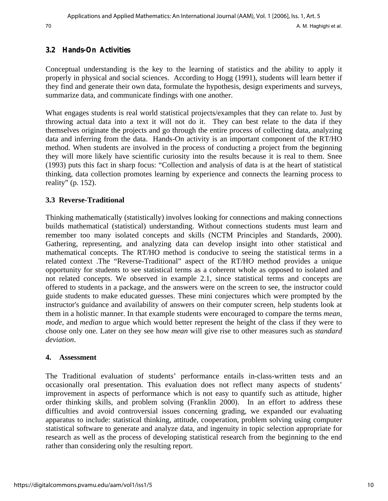#### **3.2 Hands-On Activities**

Conceptual understanding is the key to the learning of statistics and the ability to apply it properly in physical and social sciences. According to Hogg (1991), students will learn better if they find and generate their own data, formulate the hypothesis, design experiments and surveys, summarize data, and communicate findings with one another.

What engages students is real world statistical projects/examples that they can relate to. Just by throwing actual data into a text it will not do it. They can best relate to the data if they themselves originate the projects and go through the entire process of collecting data, analyzing data and inferring from the data. Hands-On activity is an important component of the RT/HO method. When students are involved in the process of conducting a project from the beginning they will more likely have scientific curiosity into the results because it is real to them. Snee (1993) puts this fact in sharp focus: "Collection and analysis of data is at the heart of statistical thinking, data collection promotes learning by experience and connects the learning process to reality" (p. 152).

#### **3.3 Reverse-Traditional**

Thinking mathematically (statistically) involves looking for connections and making connections builds mathematical (statistical) understanding. Without connections students must learn and remember too many isolated concepts and skills (NCTM Principles and Standards, 2000). Gathering, representing, and analyzing data can develop insight into other statistical and mathematical concepts. The RT/HO method is conducive to seeing the statistical terms in a related context .The "Reverse-Traditional" aspect of the RT/HO method provides a unique opportunity for students to see statistical terms as a coherent whole as opposed to isolated and not related concepts. We observed in example 2.1, since statistical terms and concepts are offered to students in a package, and the answers were on the screen to see, the instructor could guide students to make educated guesses. These mini conjectures which were prompted by the instructor's guidance and availability of answers on their computer screen, help students look at them in a holistic manner. In that example students were encouraged to compare the terms *mean, mode*, and *median* to argue which would better represent the height of the class if they were to choose only one. Later on they see how *mean* will give rise to other measures such as *standard deviation*.

#### **4. Assessment**

The Traditional evaluation of students' performance entails in-class-written tests and an occasionally oral presentation. This evaluation does not reflect many aspects of students' improvement in aspects of performance which is not easy to quantify such as attitude, higher order thinking skills, and problem solving (Franklin 2000). In an effort to address these difficulties and avoid controversial issues concerning grading, we expanded our evaluating apparatus to include: statistical thinking, attitude, cooperation, problem solving using computer statistical software to generate and analyze data, and ingenuity in topic selection appropriate for research as well as the process of developing statistical research from the beginning to the end rather than considering only the resulting report.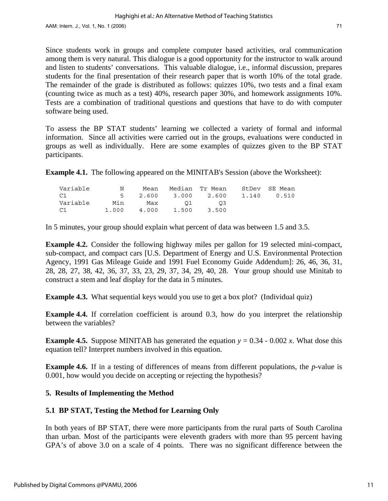Since students work in groups and complete computer based activities, oral communication among them is very natural. This dialogue is a good opportunity for the instructor to walk around and listen to students' conversations. This valuable dialogue, i.e., informal discussion, prepares students for the final presentation of their research paper that is worth 10% of the total grade. The remainder of the grade is distributed as follows: quizzes 10%, two tests and a final exam (counting twice as much as a test) 40%, research paper 30%, and homework assignments 10%. Tests are a combination of traditional questions and questions that have to do with computer software being used.

To assess the BP STAT students' learning we collected a variety of formal and informal information. Since all activities were carried out in the groups, evaluations were conducted in groups as well as individually. Here are some examples of quizzes given to the BP STAT participants.

**Example 4.1.** The following appeared on the MINITAB's Session (above the Worksheet):

| Variable | N | Mean        |               | Median Tr Mean                  | StDev SE Mean |
|----------|---|-------------|---------------|---------------------------------|---------------|
| C1       |   |             |               | 5 2.600 3.000 2.600 1.140 0.510 |               |
| Variable |   |             | Min Max 01 03 |                                 |               |
| C1       |   | 1.000 4.000 |               | 1.500 3.500                     |               |

In 5 minutes, your group should explain what percent of data was between 1.5 and 3.5.

**Example 4.2.** Consider the following highway miles per gallon for 19 selected mini-compact, sub-compact, and compact cars [U.S. Department of Energy and U.S. Environmental Protection Agency, 1991 Gas Mileage Guide and 1991 Fuel Economy Guide Addendum]: 26, 46, 36, 31, 28, 28, 27, 38, 42, 36, 37, 33, 23, 29, 37, 34, 29, 40, 28. Your group should use Minitab to construct a stem and leaf display for the data in 5 minutes.

**Example 4.3.** What sequential keys would you use to get a box plot? (Individual quiz)

**Example 4.4.** If correlation coefficient is around 0.3, how do you interpret the relationship between the variables?

**Example 4.5.** Suppose MINITAB has generated the equation  $y = 0.34 - 0.002 x$ . What dose this equation tell? Interpret numbers involved in this equation.

**Example 4.6.** If in a testing of differences of means from different populations, the *p*-value is 0.001, how would you decide on accepting or rejecting the hypothesis?

#### **5. Results of Implementing the Method**

## **5.1 BP STAT, Testing the Method for Learning Only**

In both years of BP STAT, there were more participants from the rural parts of South Carolina than urban. Most of the participants were eleventh graders with more than 95 percent having GPA's of above 3.0 on a scale of 4 points. There was no significant difference between the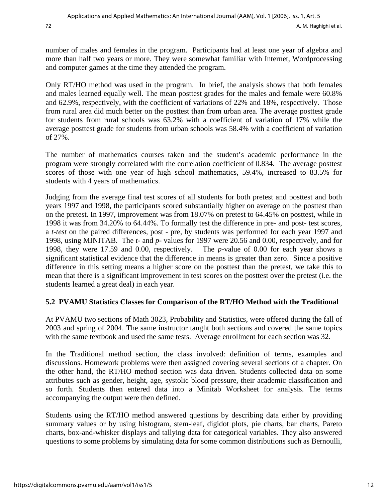number of males and females in the program. Participants had at least one year of algebra and more than half two years or more. They were somewhat familiar with Internet, Wordprocessing and computer games at the time they attended the program.

Only RT/HO method was used in the program. In brief, the analysis shows that both females and males learned equally well. The mean posttest grades for the males and female were 60.8% and 62.9%, respectively, with the coefficient of variations of 22% and 18%, respectively. Those from rural area did much better on the posttest than from urban area. The average posttest grade for students from rural schools was 63.2% with a coefficient of variation of 17% while the average posttest grade for students from urban schools was 58.4% with a coefficient of variation of 27%.

The number of mathematics courses taken and the student's academic performance in the program were strongly correlated with the correlation coefficient of 0.834. The average posttest scores of those with one year of high school mathematics, 59.4%, increased to 83.5% for students with 4 years of mathematics.

Judging from the average final test scores of all students for both pretest and posttest and both years 1997 and 1998, the participants scored substantially higher on average on the posttest than on the pretest. In 1997, improvement was from 18.07% on pretest to 64.45% on posttest, while in 1998 it was from 34.20% to 64.44%. To formally test the difference in pre- and post- test scores, a *t-test* on the paired differences, post - pre, by students was performed for each year 1997 and 1998, using MINITAB. The *t*- and *p*- values for 1997 were 20.56 and 0.00, respectively, and for 1998, they were 17.59 and 0.00, respectively. The *p*-value of 0.00 for each year shows a significant statistical evidence that the difference in means is greater than zero. Since a positive difference in this setting means a higher score on the posttest than the pretest, we take this to mean that there is a significant improvement in test scores on the posttest over the pretest (i.e. the students learned a great deal) in each year.

## **5.2 PVAMU Statistics Classes for Comparison of the RT/HO Method with the Traditional**

At PVAMU two sections of Math 3023, Probability and Statistics, were offered during the fall of 2003 and spring of 2004. The same instructor taught both sections and covered the same topics with the same textbook and used the same tests. Average enrollment for each section was 32.

In the Traditional method section, the class involved: definition of terms, examples and discussions. Homework problems were then assigned covering several sections of a chapter. On the other hand, the RT/HO method section was data driven. Students collected data on some attributes such as gender, height, age, systolic blood pressure, their academic classification and so forth. Students then entered data into a Minitab Worksheet for analysis. The terms accompanying the output were then defined.

Students using the RT/HO method answered questions by describing data either by providing summary values or by using histogram, stem-leaf, digidot plots, pie charts, bar charts, Pareto charts, box-and-whisker displays and tallying data for categorical variables. They also answered questions to some problems by simulating data for some common distributions such as Bernoulli,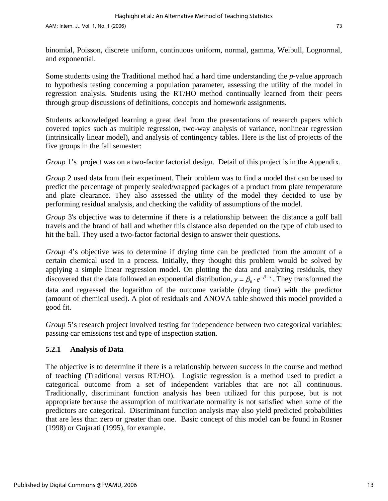binomial, Poisson, discrete uniform, continuous uniform, normal, gamma, Weibull, Lognormal, and exponential.

Some students using the Traditional method had a hard time understanding the *p*-value approach to hypothesis testing concerning a population parameter, assessing the utility of the model in regression analysis. Students using the RT/HO method continually learned from their peers through group discussions of definitions, concepts and homework assignments.

Students acknowledged learning a great deal from the presentations of research papers which covered topics such as multiple regression, two-way analysis of variance, nonlinear regression (intrinsically linear model), and analysis of contingency tables. Here is the list of projects of the five groups in the fall semester:

*Group* 1's project was on a two-factor factorial design. Detail of this project is in the Appendix.

*Group* 2 used data from their experiment. Their problem was to find a model that can be used to predict the percentage of properly sealed/wrapped packages of a product from plate temperature and plate clearance. They also assessed the utility of the model they decided to use by performing residual analysis, and checking the validity of assumptions of the model.

*Group* 3's objective was to determine if there is a relationship between the distance a golf ball travels and the brand of ball and whether this distance also depended on the type of club used to hit the ball. They used a two-factor factorial design to answer their questions.

*Group* 4's objective was to determine if drying time can be predicted from the amount of a certain chemical used in a process. Initially, they thought this problem would be solved by applying a simple linear regression model. On plotting the data and analyzing residuals, they discovered that the data followed an exponential distribution,  $y = \beta_0 \cdot e^{-\beta_1 \cdot x}$ . They transformed the data and regressed the logarithm of the outcome variable (drying time) with the predictor (amount of chemical used). A plot of residuals and ANOVA table showed this model provided a good fit.

*Group* 5's research project involved testing for independence between two categorical variables: passing car emissions test and type of inspection station.

## **5.2.1 Analysis of Data**

The objective is to determine if there is a relationship between success in the course and method of teaching (Traditional versus RT/HO). Logistic regression is a method used to predict a categorical outcome from a set of independent variables that are not all continuous. Traditionally, discriminant function analysis has been utilized for this purpose, but is not appropriate because the assumption of multivariate normality is not satisfied when some of the predictors are categorical. Discriminant function analysis may also yield predicted probabilities that are less than zero or greater than one. Basic concept of this model can be found in Rosner (1998) or Gujarati (1995), for example.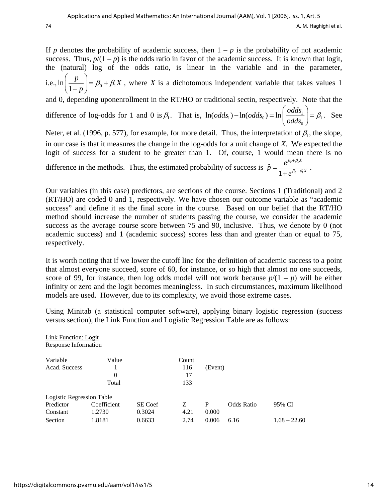If *p* denotes the probability of academic success, then  $1 - p$  is the probability of not academic success. Thus,  $p/(1-p)$  is the odds ratio in favor of the academic success. It is known that logit, the (natural) log of the odds ratio, is linear in the variable and in the parameter, i.e.,  $\ln\left(\frac{P}{1-p}\right) = \beta_0 + \beta_1$  $\left[\frac{p}{\rho}\right] = \beta_0 + \beta_1 X$  $\left(\frac{p}{1-p}\right) = \beta_0 + \beta_1$  $\left(\frac{P}{1-p}\right) = \beta_0 + \beta_1 X$ , where *X* is a dichotomous independent variable that takes values 1 and 0, depending uponenrollment in the RT/HO or traditional sectin, respectively. Note that the difference of log-odds for 1 and 0 is  $\beta_1$ . That is,  $\ln(\text{odds}_1) - \ln(\text{odds}_0) = \ln \left| \frac{\text{odds}_1}{\text{odds}_1} \right|$ 0  $\ln(\text{odds}_{1}) - \ln(\text{odds}_{0}) = \ln\left(\frac{\text{odds}}{1.5}\right)$  $-\ln(\text{odds}_{0}) = \ln\left(\frac{\text{odds}_{1}}{\text{odds}_{0}}\right) = \beta_{1}$ . See Neter, et al. (1996, p. 577), for example, for more detail. Thus, the interpretation of  $\beta_1$ , the slope, in our case is that it measures the change in the log-odds for a unit change of *X*. We expected the

logit of success for a student to be greater than 1. Of, course, 1 would mean there is no difference in the methods. Thus, the estimated probability of success is  $\hat{p} = \frac{e^{p_0 + p_1 \Delta}}{1 + e^{p_0 + p_1 \Delta}}$ *X X*  $\hat{p} = \frac{e}{\sqrt{p}}$ *e*  $\beta_0 + \beta_1$  $\beta_0 + \beta_1$ +  $= \frac{e}{1 + e^{\beta_0 + \beta_1 X}}$ .

Our variables (in this case) predictors, are sections of the course. Sections 1 (Traditional) and 2 (RT/HO) are coded 0 and 1, respectively. We have chosen our outcome variable as "academic success" and define it as the final score in the course. Based on our belief that the RT/HO method should increase the number of students passing the course, we consider the academic success as the average course score between 75 and 90, inclusive. Thus, we denote by 0 (not academic success) and 1 (academic success) scores less than and greater than or equal to 75, respectively.

It is worth noting that if we lower the cutoff line for the definition of academic success to a point that almost everyone succeed, score of 60, for instance, or so high that almost no one succeeds, score of 99, for instance, then log odds model will not work because  $p/(1 - p)$  will be either infinity or zero and the logit becomes meaningless. In such circumstances, maximum likelihood models are used. However, due to its complexity, we avoid those extreme cases.

Using Minitab (a statistical computer software), applying binary logistic regression (success versus section), the Link Function and Logistic Regression Table are as follows:

| <b>Link Function: Logit</b> |             |                |       |         |            |                |
|-----------------------------|-------------|----------------|-------|---------|------------|----------------|
| Response Information        |             |                |       |         |            |                |
| Variable                    | Value       |                | Count |         |            |                |
| Acad. Success               |             |                | 116   | (Event) |            |                |
|                             | $\Omega$    |                | 17    |         |            |                |
|                             | Total       |                | 133   |         |            |                |
| Logistic Regression Table   |             |                |       |         |            |                |
| Predictor                   | Coefficient | <b>SE</b> Coef | Z     | P       | Odds Ratio | 95% CI         |
| Constant                    | 1.2730      | 0.3024         | 4.21  | 0.000   |            |                |
| Section                     | 1.8181      | 0.6633         | 2.74  | 0.006   | 6.16       | $1.68 - 22.60$ |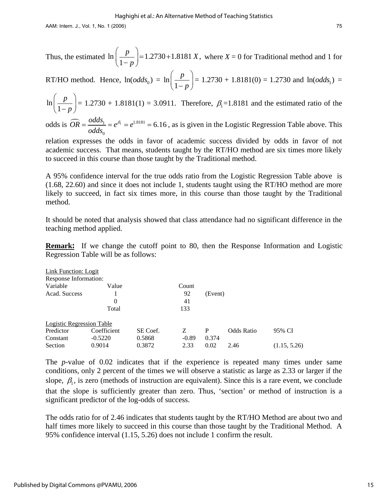AAM: Intern. J., Vol. 1, No. 1 (2006) 75

Thus, the estimated 
$$
\ln\left(\frac{p}{1-p}\right) = 1.2730 + 1.8181 X
$$
, where  $X = 0$  for Traditional method and 1 for

RT/HO method. Hence, ln(*odds*  $_{0}) = \ln \left( \frac{1}{1} \right)$ *p*  $\left(\frac{p}{1-p}\right)$  = 1.2730 + 1.8181(0) = 1.2730 and ln(*odds*<sub>1</sub>) =  $= 1.2730$ 

ln 1 *p*  $\left(\frac{p}{1-p}\right)$  = 1.2730 + 1.8181(1) = 3.0911. Therefore,  $\beta_1$  = 1.8181 and the estimated ratio of the

odds is  $\widehat{OR} = \frac{odds_1}{odds_0} = e^{\beta_1} = e^{1.8181} = 6.16$ , as is given in the Logistic Regression Table above. This  $= e^{\beta_1} = e^{1.8181} = 6.16$ , as is given

relation expresses the odds in favor of academic success divided by odds in favor of not academic success. That means, students taught by the RT/HO method are six times more likely to succeed in this course than those taught by the Traditional method.

A 95% confidence interval for the true odds ratio from the Logistic Regression Table above is (1.68, 22.60) and since it does not include 1, students taught using the RT/HO method are more likely to succeed, in fact six times more, in this course than those taught by the Traditional method.

It should be noted that analysis showed that class attendance had no significant difference in the teaching method applied.

**Remark:** If we change the cutoff point to 80, then the Response Information and Logistic Regression Table will be as follows:

| Link Function: Logit             |             |          |         |         |                   |              |
|----------------------------------|-------------|----------|---------|---------|-------------------|--------------|
| Response Information:            |             |          |         |         |                   |              |
| Variable                         | Value       |          | Count   |         |                   |              |
| Acad. Success                    |             |          | 92      | (Event) |                   |              |
|                                  | 0           |          | 41      |         |                   |              |
|                                  | Total       |          | 133     |         |                   |              |
| <b>Logistic Regression Table</b> |             |          |         |         |                   |              |
| Predictor                        | Coefficient | SE Coef. | Ζ       | P       | <b>Odds Ratio</b> | 95% CI       |
| Constant                         | $-0.5220$   | 0.5868   | $-0.89$ | 0.374   |                   |              |
| Section                          | 0.9014      | 0.3872   | 2.33    | 0.02    | 2.46              | (1.15, 5.26) |

The *p*-value of 0.02 indicates that if the experience is repeated many times under same conditions, only 2 percent of the times we will observe a statistic as large as 2.33 or larger if the slope,  $\beta_1$ , is zero (methods of instruction are equivalent). Since this is a rare event, we conclude that the slope is sufficiently greater than zero. Thus, 'section' or method of instruction is a significant predictor of the log-odds of success.

The odds ratio for of 2.46 indicates that students taught by the RT/HO Method are about two and half times more likely to succeed in this course than those taught by the Traditional Method. A 95% confidence interval (1.15, 5.26) does not include 1 confirm the result.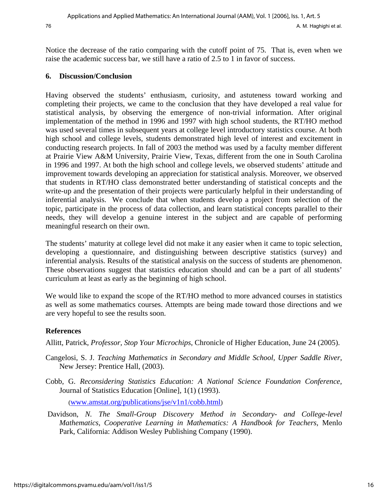Notice the decrease of the ratio comparing with the cutoff point of 75. That is, even when we raise the academic success bar, we still have a ratio of 2.5 to 1 in favor of success.

#### **6. Discussion/Conclusion**

Having observed the students' enthusiasm, curiosity, and astuteness toward working and completing their projects, we came to the conclusion that they have developed a real value for statistical analysis, by observing the emergence of non-trivial information. After original implementation of the method in 1996 and 1997 with high school students, the RT/HO method was used several times in subsequent years at college level introductory statistics course. At both high school and college levels, students demonstrated high level of interest and excitement in conducting research projects. In fall of 2003 the method was used by a faculty member different at Prairie View A&M University, Prairie View, Texas, different from the one in South Carolina in 1996 and 1997. At both the high school and college levels, we observed students' attitude and improvement towards developing an appreciation for statistical analysis. Moreover, we observed that students in RT/HO class demonstrated better understanding of statistical concepts and the write-up and the presentation of their projects were particularly helpful in their understanding of inferential analysis. We conclude that when students develop a project from selection of the topic, participate in the process of data collection, and learn statistical concepts parallel to their needs, they will develop a genuine interest in the subject and are capable of performing meaningful research on their own.

The students' maturity at college level did not make it any easier when it came to topic selection, developing a questionnaire, and distinguishing between descriptive statistics (survey) and inferential analysis. Results of the statistical analysis on the success of students are phenomenon. These observations suggest that statistics education should and can be a part of all students' curriculum at least as early as the beginning of high school.

We would like to expand the scope of the RT/HO method to more advanced courses in statistics as well as some mathematics courses. Attempts are being made toward those directions and we are very hopeful to see the results soon.

## **References**

Allitt, Patrick, *Professor, Stop Your Microchips*, Chronicle of Higher Education, June 24 (2005).

- Cangelosi, S. J. *Teaching Mathematics in Secondary and Middle School, Upper Saddle River*, New Jersey: Prentice Hall, (2003).
- Cobb, G. *[Reconsidering Statistics Education: A National Science Foundation Conference,](http://www.amstat.org/publications/jse/v1n1/cobb.html)*  Journal of Statistics Education [Online], 1(1) (1993).

[\(www.amstat.org/publications/jse/v1n1/cobb.html](http://www.amstat.org/publications/jse/v1n1/cobb.html))

 Davidson, *N. The Small-Group Discovery Method in Secondary- and College-level Mathematics*, *Cooperative Learning in Mathematics: A Handbook for Teachers,* Menlo Park, California: Addison Wesley Publishing Company (1990).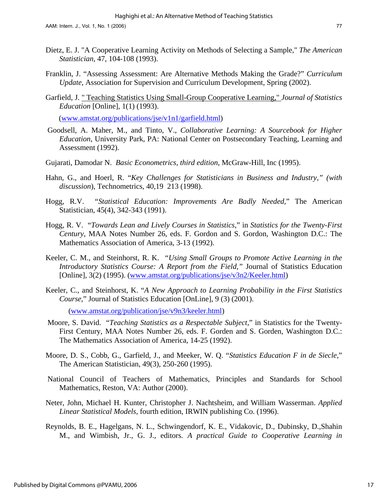- Franklin, J. "Assessing Assessment: Are Alternative Methods Making the Grade?" *Curriculum Update*, Association for Supervision and Curriculum Development, Spring (2002).
- Garfield, J. [" Teaching Statistics Using Small-Group Cooperative Learning,"](http://www.amstat.org/publications/jse/v1n1/garfield.html) *Journal of Statistics Education* [Online], 1(1) (1993).

[\(www.amstat.org/publications/jse/v1n1/garfield.html\)](http://www.amstat.org/publications/jse/v1n1/garfield.html)

- Goodsell, A. Maher, M., and Tinto, V., *Collaborative Learning: A Sourcebook for Higher Education*, University Park, PA: National Center on Postsecondary Teaching, Learning and Assessment (1992).
- Gujarati, Damodar N. *Basic Econometrics, third edition*, McGraw-Hill, Inc (1995).
- Hahn, G., and Hoerl, R. "*Key Challenges for Statisticians in Business and Industry," (with discussion*), Technometrics, 40,19 213 (1998).
- Hogg, R.V. "*Statistical Education: Improvements Are Badly Needed*," The American Statistician, 45(4), 342-343 (1991).
- Hogg, R. V. "*Towards Lean and Lively Courses in Statistics*," in *Statistics for the Twenty-First Century*, MAA Notes Number 26, eds. F. Gordon and S. Gordon, Washington D.C.: The Mathematics Association of America, 3-13 (1992).
- Keeler, C. M., and Steinhorst, R. K. *["Using Small Groups to Promote Active Learning in the](http://www.amstat.org/publications/jse/v3n2/Keeler.html)  [Introductory Statistics Course: A Report from the Field,"](http://www.amstat.org/publications/jse/v3n2/Keeler.html)* Journal of Statistics Education [Online], 3(2) (1995). [\(www.amstat.org/publications/jse/v3n2/Keeler.html\)](http://www.amstat.org/publications/jse/v3n2/Keeler.html)
- Keeler, C., and Steinhorst, K. "*A New Approach to Learning Probability in the First Statistics Course,*" Journal of Statistics Education [OnLine], 9 (3) (2001).

([www.amstat.org/publication/jse/v9n3/keeler.html](http://www.amstat.org/publication/jse/v9n3/keeler.html))

- Moore, S. David. "*Teaching Statistics as a Respectable Subject*," in Statistics for the Twenty-First Century, MAA Notes Number 26, eds. F. Gorden and S. Gorden, Washington D.C.: The Mathematics Association of America, 14-25 (1992).
- Moore, D. S., Cobb, G., Garfield, J., and Meeker, W. Q. "*Statistics Education F in de Siecle*," The American Statistician, 49(3), 250-260 (1995).
- National Council of Teachers of Mathematics, Principles and Standards for School Mathematics, Reston, VA: Author (2000).
- Neter, John, Michael H. Kunter, Christopher J. Nachtsheim, and William Wasserman. *Applied Linear Statistical Models*, fourth edition, IRWIN publishing Co. (1996).
- Reynolds, B. E., Hagelgans, N. L., Schwingendorf, K. E., Vidakovic, D., Dubinsky, D.,Shahin M., and Wimbish, Jr., G. J., editors. *A practical Guide to Cooperative Learning in*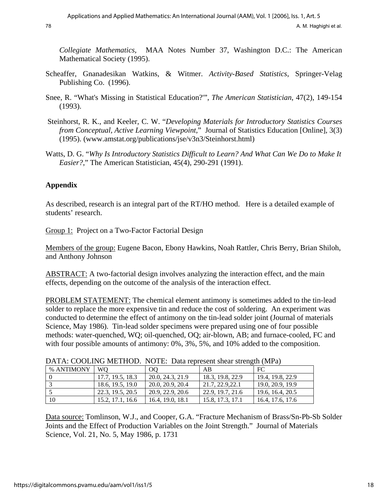78 **A. M. Haghighi et al.** 

*Collegiate Mathematics,* MAA Notes Number 37, Washington D.C.: The American Mathematical Society (1995).

- Scheaffer, Gnanadesikan Watkins, & Witmer. *Activity-Based Statistics*, Springer-Velag Publishing Co. (1996).
- Snee, R. "What's Missing in Statistical Education?'", *The American Statistician*, 47(2), 149-154 (1993).
- Steinhorst, R. K., and Keeler, C. W. "*Developing Materials for Introductory Statistics Courses from Conceptual, Active Learning Viewpoint,*" Journal of Statistics Education [Online], 3(3) (1995). ([www.amstat.org/publications/jse/v3n3/Steinhorst.html\)](http://www.amstat.org/publications/jse/v3n3/Steinhorst.html)
- Watts, D. G. "*Why Is Introductory Statistics Difficult to Learn? And What Can We Do to Make It Easier?*," The American Statistician, 45(4), 290-291 (1991).

## **Appendix**

As described, research is an integral part of the RT/HO method. Here is a detailed example of students' research.

Group 1: Project on a Two-Factor Factorial Design

Members of the group: Eugene Bacon, Ebony Hawkins, Noah Rattler, Chris Berry, Brian Shiloh, and Anthony Johnson

ABSTRACT: A two-factorial design involves analyzing the interaction effect, and the main effects, depending on the outcome of the analysis of the interaction effect.

PROBLEM STATEMENT: The chemical element antimony is sometimes added to the tin-lead solder to replace the more expensive tin and reduce the cost of soldering. An experiment was conducted to determine the effect of antimony on the tin-lead solder joint (Journal of materials Science, May 1986). Tin-lead solder specimens were prepared using one of four possible methods: water-quenched, WQ; oil-quenched, OQ; air-blown, AB; and furnace-cooled, FC and with four possible amounts of antimony: 0%, 3%, 5%, and 10% added to the composition.

| DATA, COOLITYO MILITIOD, TYOTE, Data Represent shear such giv (1911 a) |                  |                  |                  |                  |  |  |  |  |  |
|------------------------------------------------------------------------|------------------|------------------|------------------|------------------|--|--|--|--|--|
| % ANTIMONY                                                             | <b>WO</b>        | OO               | AB               | FC               |  |  |  |  |  |
|                                                                        | 17.7, 19.5, 18.3 | 20.0, 24.3, 21.9 | 18.3, 19.8, 22.9 | 19.4, 19.8, 22.9 |  |  |  |  |  |
|                                                                        | 18.6, 19.5, 19.0 | 20.0, 20.9, 20.4 | 21.7, 22.9.22.1  | 19.0, 20.9, 19.9 |  |  |  |  |  |
|                                                                        | 22.3. 19.5. 20.5 | 20.9, 22.9, 20.6 | 22.9, 19.7, 21.6 | 19.6, 16.4, 20.5 |  |  |  |  |  |
| 10                                                                     | 15.2, 17.1, 16.6 | 16.4, 19.0, 18.1 | 15.8, 17.3, 17.1 | 16.4, 17.6, 17.6 |  |  |  |  |  |

## DATA: COOLING METHOD. NOTE: Data represent shear strength (MPa)

Data source: Tomlinson, W.J., and Cooper, G.A. "Fracture Mechanism of Brass/Sn-Pb-Sb Solder Joints and the Effect of Production Variables on the Joint Strength." Journal of Materials Science, Vol. 21, No. 5, May 1986, p. 1731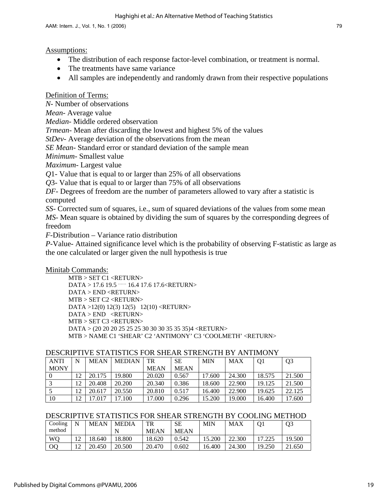#### Assumptions:

- The distribution of each response factor-level combination, or treatment is normal.
- The treatments have same variance
- All samples are independently and randomly drawn from their respective populations

Definition of Terms:

*N*- Number of observations

*Mean*- Average value

*Median*- Middle ordered observation

*Trmean*- Mean after discarding the lowest and highest 5% of the values

*StDev*- Average deviation of the observations from the mean

*SE Mean*- Standard error or standard deviation of the sample mean

*Minimum*- Smallest value

*Maximum*- Largest value

*Q*1- Value that is equal to or larger than 25% of all observations

*Q*3- Value that is equal to or larger than 75% of all observations

*DF*- Degrees of freedom are the number of parameters allowed to vary after a statistic is computed

*SS*- Corrected sum of squares, i.e., sum of squared deviations of the values from some mean *MS*- Mean square is obtained by dividing the sum of squares by the corresponding degrees of freedom

*F*-Distribution – Variance ratio distribution

*P*-Value- Attained significance level which is the probability of observing F-statistic as large as the one calculated or larger given the null hypothesis is true

#### Minitab Commands:

MTB > SET C1 <RETURN> DATA > 17.6 19.5 …… 16.4 17.6 17.6<RETURN> DATA > END <RETURN> MTB > SET C2 <RETURN> DATA >12(0) 12(3) 12(5) 12(10) <RETURN> DATA > END <RETURN> MTB > SET C3 <RETURN> DATA > (20 20 20 25 25 25 30 30 30 35 35 35)4 <RETURN> MTB > NAME C1 'SHEAR' C2 'ANTIMONY' C3 'COOLMETH' <RETURN>

#### DESCRIPTIVE STATISTICS FOR SHEAR STRENGTH BY ANTIMONY

| <b>ANTI</b> | N  | <b>MEAN</b> | <b>MEDIAN</b> | TR          | <b>SE</b>   | <b>MIN</b> | <b>MAX</b> | O <sub>1</sub> | Q <sub>3</sub> |
|-------------|----|-------------|---------------|-------------|-------------|------------|------------|----------------|----------------|
| <b>MONY</b> |    |             |               | <b>MEAN</b> | <b>MEAN</b> |            |            |                |                |
|             | 12 | 20.175      | 19.800        | 20.020      | 0.567       | 7.600      | 24.300     | 18.575         | 21.500         |
|             | 12 | 20.408      | 20.200        | 20.340      | 0.386       | 18.600     | 22.900     | 19.125         | 21.500         |
|             | 12 | 20.617      | 20.550        | 20.810      | 0.517       | 16.400     | 22.900     | 19.625         | 22.125         |
| 10          | 12 | 17.017      | 17.100        | 17.000      | 0.296       | 15.200     | 19.000     | 16.400         | 17.600         |

#### DESCRIPTIVE STATISTICS FOR SHEAR STRENGTH BY COOLING METHOD

| Cooling        |                | <b>MEAN</b> | <b>MEDIA</b> | TR          | SЕ          | <b>MIN</b> | MAX    |        | Q3     |
|----------------|----------------|-------------|--------------|-------------|-------------|------------|--------|--------|--------|
| method         |                |             |              | <b>MEAN</b> | <b>MEAN</b> |            |        |        |        |
| W <sub>O</sub> | $1 \cap$       | 18.640      | 18.800       | 18.620      | 0.542       | 15.200     | 22.300 | 17.225 | 19.500 |
| OO             | 1 <sub>0</sub> | 20.450      | 20.500       | 20.470      | 0.602       | 6.400      | 24.300 | 19.250 | 21.650 |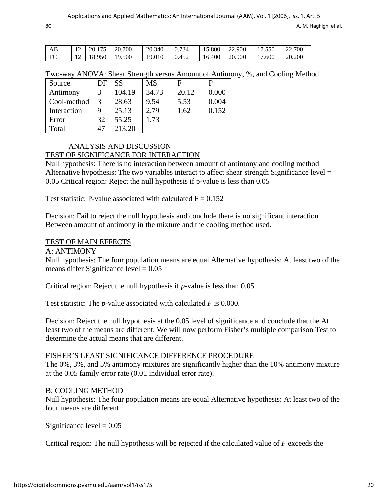| AB | $12 \times 20.175 \times 20.700$ | 120.340 | 0.734 | $15.800$ 22.900 |         | 17.550 | 22.700 |
|----|----------------------------------|---------|-------|-----------------|---------|--------|--------|
| FC | 12   18.950   19.500             | 19.010  | 0.452 | 16.400          | 120.900 | 17.600 | 20.200 |

Two-way ANOVA: Shear Strength versus Amount of Antimony, %, and Cooling Method

| Source      | DF | SS     | <b>MS</b> |       |       |
|-------------|----|--------|-----------|-------|-------|
| Antimony    |    | 104.19 | 34.73     | 20.12 | 0.000 |
| Cool-method | 3  | 28.63  | 9.54      | 5.53  | 0.004 |
| Interaction | Q  | 25.13  | 2.79      | 1.62  | 0.152 |
| Error       | 32 | 55.25  | 1.73      |       |       |
| Total       |    | 213.20 |           |       |       |

## ANALYSIS AND DISCUSSION

#### TEST OF SIGNIFICANCE FOR INTERACTION

Null hypothesis: There is no interaction between amount of antimony and cooling method Alternative hypothesis: The two variables interact to affect shear strength Significance level = 0.05 Critical region: Reject the null hypothesis if p-value is less than 0.05

Test statistic: P-value associated with calculated  $F = 0.152$ 

Decision: Fail to reject the null hypothesis and conclude there is no significant interaction Between amount of antimony in the mixture and the cooling method used.

## TEST OF MAIN EFFECTS

A: ANTIMONY

Null hypothesis: The four population means are equal Alternative hypothesis: At least two of the means differ Significance level  $= 0.05$ 

Critical region: Reject the null hypothesis if *p*-value is less than 0.05

Test statistic: The *p*-value associated with calculated *F* is 0.000.

Decision: Reject the null hypothesis at the 0.05 level of significance and conclude that the At least two of the means are different. We will now perform Fisher's multiple comparison Test to determine the actual means that are different.

#### FISHER'S LEAST SIGNIFICANCE DIFFERENCE PROCEDURE

The 0%, 3%, and 5% antimony mixtures are significantly higher than the 10% antimony mixture at the 0.05 family error rate (0.01 individual error rate).

#### B: COOLING METHOD

Null hypothesis: The four population means are equal Alternative hypothesis: At least two of the four means are different

Significance level  $= 0.05$ 

Critical region: The null hypothesis will be rejected if the calculated value of *F* exceeds the